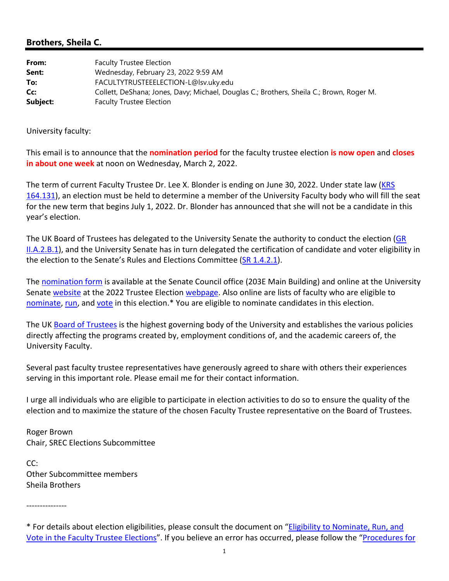## **Brothers, Sheila C.**

| From:    | <b>Faculty Trustee Election</b>                                                          |
|----------|------------------------------------------------------------------------------------------|
| Sent:    | Wednesday, February 23, 2022 9:59 AM                                                     |
| To:      | FACULTYTRUSTEEELECTION-L@lsv.uky.edu                                                     |
| Cc:      | Collett, DeShana; Jones, Davy; Michael, Douglas C.; Brothers, Sheila C.; Brown, Roger M. |
| Subject: | <b>Faculty Trustee Election</b>                                                          |

University faculty:

This email is to announce that the **nomination period** for the faculty trustee election **is now open** and **closes in about one week** at noon on Wednesday, March 2, 2022.

The term of current Faculty Trustee Dr. Lee X. Blonder is ending on June 30, 2022. Under state law (KRS 164.131), an election must be held to determine a member of the University Faculty body who will fill the seat for the new term that begins July 1, 2022. Dr. Blonder has announced that she will not be a candidate in this year's election.

The UK Board of Trustees has delegated to the University Senate the authority to conduct the election (GR II.A.2.B.1), and the University Senate has in turn delegated the certification of candidate and voter eligibility in the election to the Senate's Rules and Elections Committee (SR 1.4.2.1).

The nomination form is available at the Senate Council office (203E Main Building) and online at the University Senate website at the 2022 Trustee Election webpage. Also online are lists of faculty who are eligible to nominate, run, and vote in this election.\* You are eligible to nominate candidates in this election.

The UK Board of Trustees is the highest governing body of the University and establishes the various policies directly affecting the programs created by, employment conditions of, and the academic careers of, the University Faculty.

Several past faculty trustee representatives have generously agreed to share with others their experiences serving in this important role. Please email me for their contact information.

I urge all individuals who are eligible to participate in election activities to do so to ensure the quality of the election and to maximize the stature of the chosen Faculty Trustee representative on the Board of Trustees.

Roger Brown Chair, SREC Elections Subcommittee

 $CC:$ Other Subcommittee members Sheila Brothers

–––––––––––––<br>––––––––––––––––

\* For details about election eligibilities, please consult the document on "Eligibility to Nominate, Run, and Vote in the Faculty Trustee Elections". If you believe an error has occurred, please follow the "Procedures for